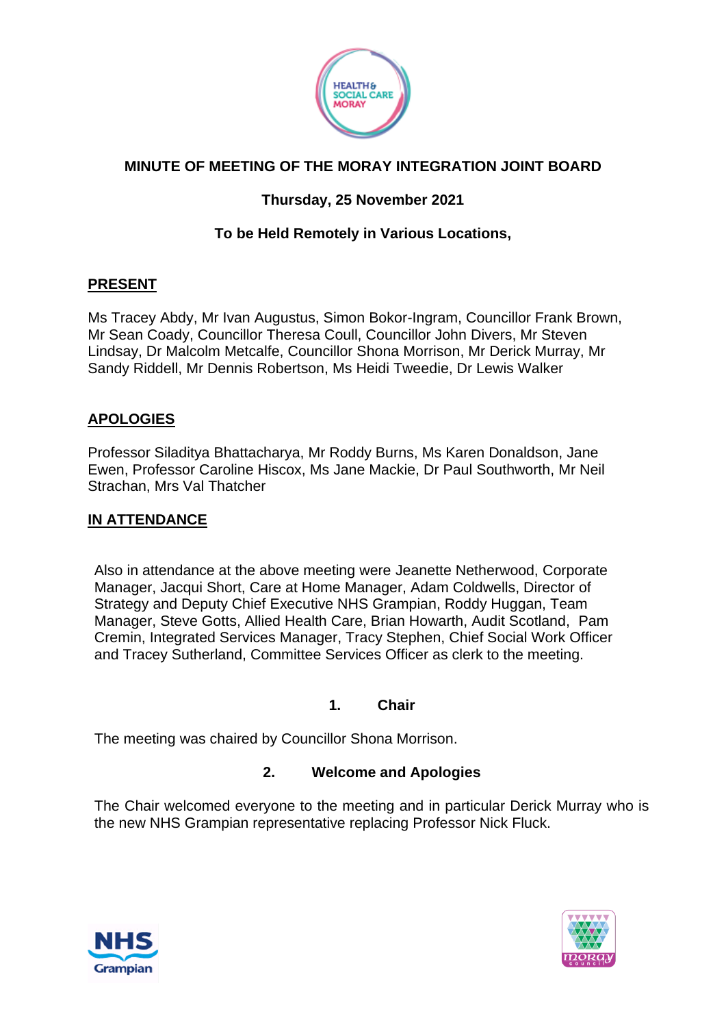

# **MINUTE OF MEETING OF THE MORAY INTEGRATION JOINT BOARD**

# **Thursday, 25 November 2021**

# **To be Held Remotely in Various Locations,**

#### **PRESENT**

Ms Tracey Abdy, Mr Ivan Augustus, Simon Bokor-Ingram, Councillor Frank Brown, Mr Sean Coady, Councillor Theresa Coull, Councillor John Divers, Mr Steven Lindsay, Dr Malcolm Metcalfe, Councillor Shona Morrison, Mr Derick Murray, Mr Sandy Riddell, Mr Dennis Robertson, Ms Heidi Tweedie, Dr Lewis Walker

## **APOLOGIES**

Professor Siladitya Bhattacharya, Mr Roddy Burns, Ms Karen Donaldson, Jane Ewen, Professor Caroline Hiscox, Ms Jane Mackie, Dr Paul Southworth, Mr Neil Strachan, Mrs Val Thatcher

#### **IN ATTENDANCE**

Also in attendance at the above meeting were Jeanette Netherwood, Corporate Manager, Jacqui Short, Care at Home Manager, Adam Coldwells, Director of Strategy and Deputy Chief Executive NHS Grampian, Roddy Huggan, Team Manager, Steve Gotts, Allied Health Care, Brian Howarth, Audit Scotland, Pam Cremin, Integrated Services Manager, Tracy Stephen, Chief Social Work Officer and Tracey Sutherland, Committee Services Officer as clerk to the meeting.

#### **1. Chair**

The meeting was chaired by Councillor Shona Morrison.

#### **2. Welcome and Apologies**

The Chair welcomed everyone to the meeting and in particular Derick Murray who is the new NHS Grampian representative replacing Professor Nick Fluck.



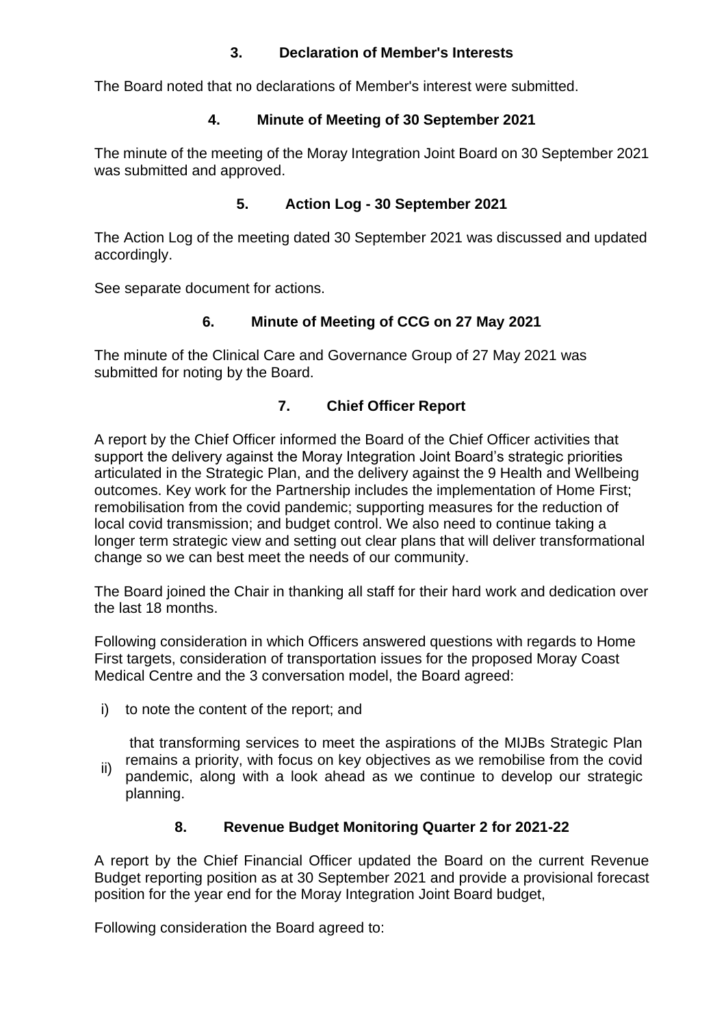## **3. Declaration of Member's Interests**

The Board noted that no declarations of Member's interest were submitted.

#### **4. Minute of Meeting of 30 September 2021**

The minute of the meeting of the Moray Integration Joint Board on 30 September 2021 was submitted and approved.

## **5. Action Log - 30 September 2021**

The Action Log of the meeting dated 30 September 2021 was discussed and updated accordingly.

See separate document for actions.

## **6. Minute of Meeting of CCG on 27 May 2021**

The minute of the Clinical Care and Governance Group of 27 May 2021 was submitted for noting by the Board.

## **7. Chief Officer Report**

A report by the Chief Officer informed the Board of the Chief Officer activities that support the delivery against the Moray Integration Joint Board's strategic priorities articulated in the Strategic Plan, and the delivery against the 9 Health and Wellbeing outcomes. Key work for the Partnership includes the implementation of Home First; remobilisation from the covid pandemic; supporting measures for the reduction of local covid transmission; and budget control. We also need to continue taking a longer term strategic view and setting out clear plans that will deliver transformational change so we can best meet the needs of our community.

The Board joined the Chair in thanking all staff for their hard work and dedication over the last 18 months.

Following consideration in which Officers answered questions with regards to Home First targets, consideration of transportation issues for the proposed Moray Coast Medical Centre and the 3 conversation model, the Board agreed:

i) to note the content of the report; and

that transforming services to meet the aspirations of the MIJBs Strategic Plan remains a priority, with focus on key objectives as we remobilise from the covid

ii) pandemic, along with a look ahead as we continue to develop our strategic planning.

## **8. Revenue Budget Monitoring Quarter 2 for 2021-22**

A report by the Chief Financial Officer updated the Board on the current Revenue Budget reporting position as at 30 September 2021 and provide a provisional forecast position for the year end for the Moray Integration Joint Board budget,

Following consideration the Board agreed to: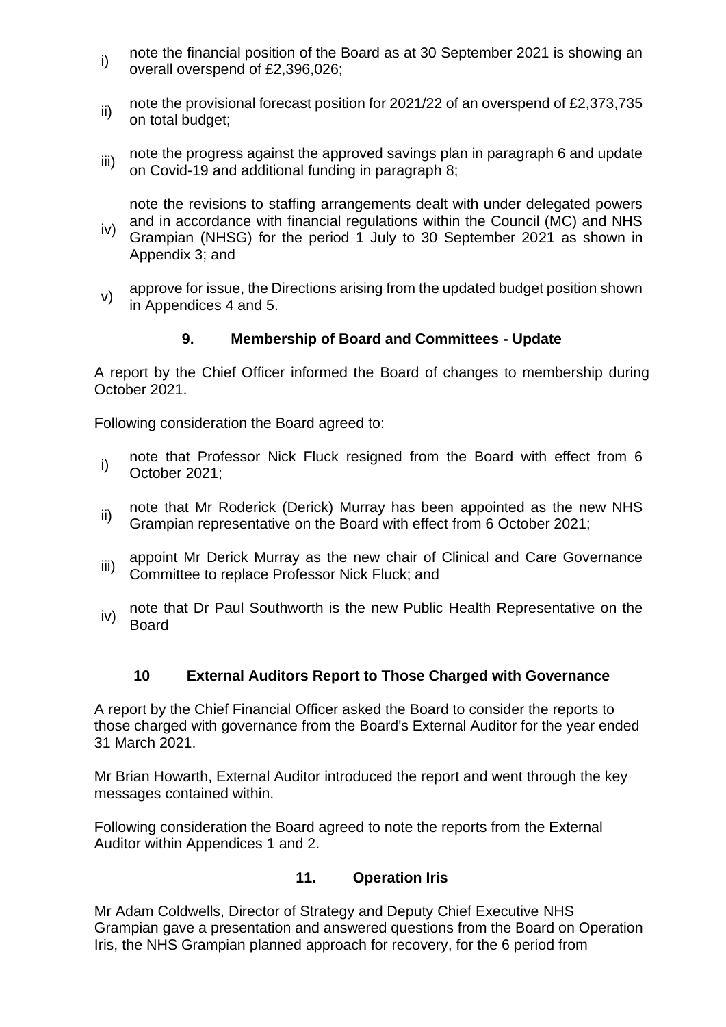- i) note the financial position of the Board as at 30 September 2021 is showing an overall overspend of £2,396,026;
- ii) note the provisional forecast position for 2021/22 of an overspend of £2,373,735 on total budget;
- iii) note the progress against the approved savings plan in paragraph 6 and update on Covid-19 and additional funding in paragraph 8;

iv) note the revisions to staffing arrangements dealt with under delegated powers and in accordance with financial regulations within the Council (MC) and NHS Grampian (NHSG) for the period 1 July to 30 September 2021 as shown in Appendix 3; and

v) approve for issue, the Directions arising from the updated budget position shown in Appendices 4 and 5.

## **9. Membership of Board and Committees - Update**

A report by the Chief Officer informed the Board of changes to membership during October 2021.

Following consideration the Board agreed to:

- i) note that Professor Nick Fluck resigned from the Board with effect from 6 October 2021;
- ii) note that Mr Roderick (Derick) Murray has been appointed as the new NHS Grampian representative on the Board with effect from 6 October 2021;
- iii) appoint Mr Derick Murray as the new chair of Clinical and Care Governance Committee to replace Professor Nick Fluck; and
- iv) note that Dr Paul Southworth is the new Public Health Representative on the Board

## **10 External Auditors Report to Those Charged with Governance**

A report by the Chief Financial Officer asked the Board to consider the reports to those charged with governance from the Board's External Auditor for the year ended 31 March 2021.

Mr Brian Howarth, External Auditor introduced the report and went through the key messages contained within.

Following consideration the Board agreed to note the reports from the External Auditor within Appendices 1 and 2.

## **11. Operation Iris**

Mr Adam Coldwells, Director of Strategy and Deputy Chief Executive NHS Grampian gave a presentation and answered questions from the Board on Operation Iris, the NHS Grampian planned approach for recovery, for the 6 period from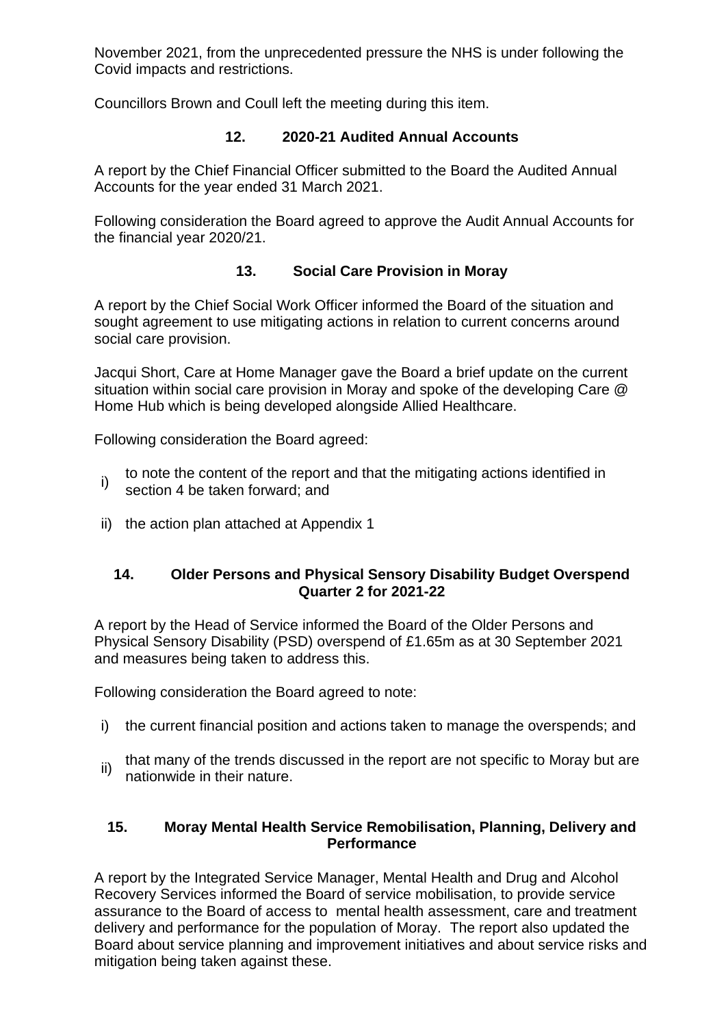November 2021, from the unprecedented pressure the NHS is under following the Covid impacts and restrictions.

Councillors Brown and Coull left the meeting during this item.

# **12. 2020-21 Audited Annual Accounts**

A report by the Chief Financial Officer submitted to the Board the Audited Annual Accounts for the year ended 31 March 2021.

Following consideration the Board agreed to approve the Audit Annual Accounts for the financial year 2020/21.

# **13. Social Care Provision in Moray**

A report by the Chief Social Work Officer informed the Board of the situation and sought agreement to use mitigating actions in relation to current concerns around social care provision.

Jacqui Short, Care at Home Manager gave the Board a brief update on the current situation within social care provision in Moray and spoke of the developing Care @ Home Hub which is being developed alongside Allied Healthcare.

Following consideration the Board agreed:

- i) to note the content of the report and that the mitigating actions identified in section 4 be taken forward; and
- ii) the action plan attached at Appendix 1

#### **14. Older Persons and Physical Sensory Disability Budget Overspend Quarter 2 for 2021-22**

A report by the Head of Service informed the Board of the Older Persons and Physical Sensory Disability (PSD) overspend of £1.65m as at 30 September 2021 and measures being taken to address this.

Following consideration the Board agreed to note:

- i) the current financial position and actions taken to manage the overspends; and
- ii) that many of the trends discussed in the report are not specific to Moray but are nationwide in their nature.

#### **15. Moray Mental Health Service Remobilisation, Planning, Delivery and Performance**

A report by the Integrated Service Manager, Mental Health and Drug and Alcohol Recovery Services informed the Board of service mobilisation, to provide service assurance to the Board of access to mental health assessment, care and treatment delivery and performance for the population of Moray. The report also updated the Board about service planning and improvement initiatives and about service risks and mitigation being taken against these.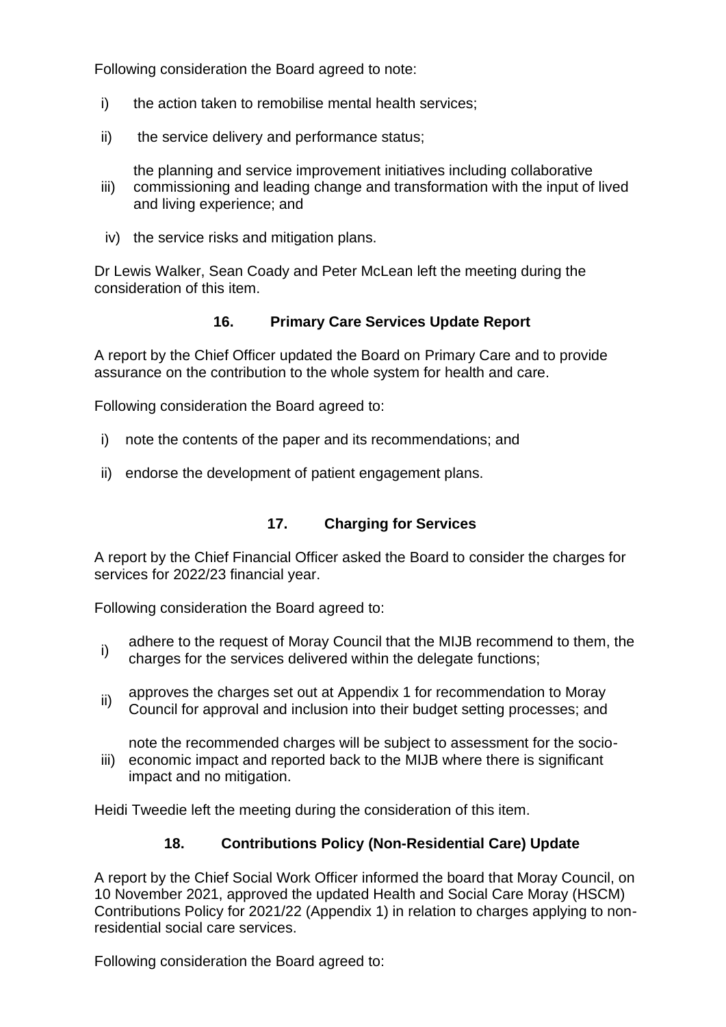Following consideration the Board agreed to note:

- i) the action taken to remobilise mental health services:
- ii) the service delivery and performance status;
- iii) the planning and service improvement initiatives including collaborative commissioning and leading change and transformation with the input of lived and living experience; and
- iv) the service risks and mitigation plans.

Dr Lewis Walker, Sean Coady and Peter McLean left the meeting during the consideration of this item.

#### **16. Primary Care Services Update Report**

A report by the Chief Officer updated the Board on Primary Care and to provide assurance on the contribution to the whole system for health and care.

Following consideration the Board agreed to:

- i) note the contents of the paper and its recommendations; and
- ii) endorse the development of patient engagement plans.

## **17. Charging for Services**

A report by the Chief Financial Officer asked the Board to consider the charges for services for 2022/23 financial year.

Following consideration the Board agreed to:

- i) adhere to the request of Moray Council that the MIJB recommend to them, the charges for the services delivered within the delegate functions;
- ii) approves the charges set out at Appendix 1 for recommendation to Moray Council for approval and inclusion into their budget setting processes; and

note the recommended charges will be subject to assessment for the socio-

iii) economic impact and reported back to the MIJB where there is significant impact and no mitigation.

Heidi Tweedie left the meeting during the consideration of this item.

## **18. Contributions Policy (Non-Residential Care) Update**

A report by the Chief Social Work Officer informed the board that Moray Council, on 10 November 2021, approved the updated Health and Social Care Moray (HSCM) Contributions Policy for 2021/22 (Appendix 1) in relation to charges applying to nonresidential social care services.

Following consideration the Board agreed to: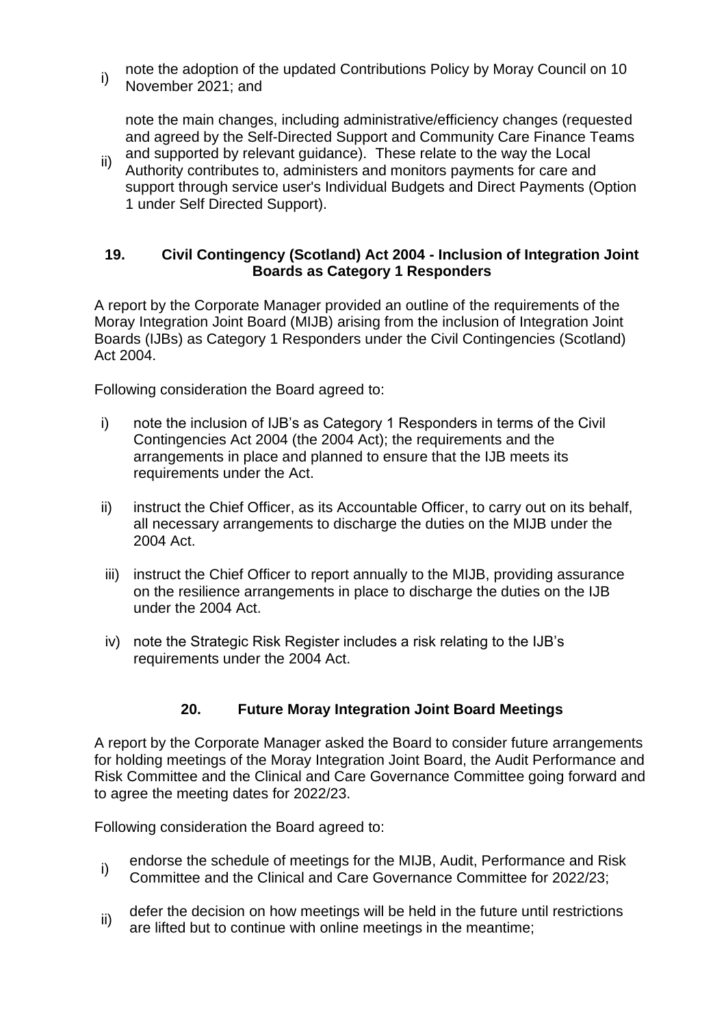i) note the adoption of the updated Contributions Policy by Moray Council on 10 November 2021; and

note the main changes, including administrative/efficiency changes (requested and agreed by the Self-Directed Support and Community Care Finance Teams and supported by relevant guidance). These relate to the way the Local

ii) Authority contributes to, administers and monitors payments for care and support through service user's Individual Budgets and Direct Payments (Option 1 under Self Directed Support).

#### **19. Civil Contingency (Scotland) Act 2004 - Inclusion of Integration Joint Boards as Category 1 Responders**

A report by the Corporate Manager provided an outline of the requirements of the Moray Integration Joint Board (MIJB) arising from the inclusion of Integration Joint Boards (IJBs) as Category 1 Responders under the Civil Contingencies (Scotland) Act 2004.

Following consideration the Board agreed to:

- i) note the inclusion of IJB's as Category 1 Responders in terms of the Civil Contingencies Act 2004 (the 2004 Act); the requirements and the arrangements in place and planned to ensure that the IJB meets its requirements under the Act.
- ii) instruct the Chief Officer, as its Accountable Officer, to carry out on its behalf, all necessary arrangements to discharge the duties on the MIJB under the 2004 Act.
- iii) instruct the Chief Officer to report annually to the MIJB, providing assurance on the resilience arrangements in place to discharge the duties on the IJB under the 2004 Act.
- iv) note the Strategic Risk Register includes a risk relating to the IJB's requirements under the 2004 Act.

## **20. Future Moray Integration Joint Board Meetings**

A report by the Corporate Manager asked the Board to consider future arrangements for holding meetings of the Moray Integration Joint Board, the Audit Performance and Risk Committee and the Clinical and Care Governance Committee going forward and to agree the meeting dates for 2022/23.

Following consideration the Board agreed to:

- i) endorse the schedule of meetings for the MIJB, Audit, Performance and Risk Committee and the Clinical and Care Governance Committee for 2022/23;
- ii) defer the decision on how meetings will be held in the future until restrictions are lifted but to continue with online meetings in the meantime;